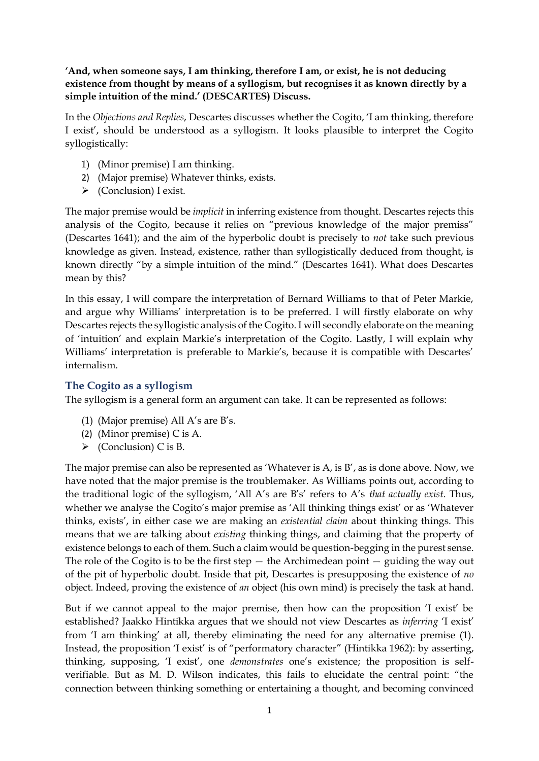**'And, when someone says, I am thinking, therefore I am, or exist, he is not deducing existence from thought by means of a syllogism, but recognises it as known directly by a simple intuition of the mind.' (DESCARTES) Discuss.**

In the *Objections and Replies*, Descartes discusses whether the Cogito, 'I am thinking, therefore I exist', should be understood as a syllogism. It looks plausible to interpret the Cogito syllogistically:

- 1) (Minor premise) I am thinking.
- 2) (Major premise) Whatever thinks, exists.
- ➢ (Conclusion) I exist.

The major premise would be *implicit* in inferring existence from thought. Descartes rejects this analysis of the Cogito, because it relies on "previous knowledge of the major premiss" (Descartes 1641); and the aim of the hyperbolic doubt is precisely to *not* take such previous knowledge as given. Instead, existence, rather than syllogistically deduced from thought, is known directly "by a simple intuition of the mind." (Descartes 1641). What does Descartes mean by this?

In this essay, I will compare the interpretation of Bernard Williams to that of Peter Markie, and argue why Williams' interpretation is to be preferred. I will firstly elaborate on why Descartes rejects the syllogistic analysis of the Cogito. I will secondly elaborate on the meaning of 'intuition' and explain Markie's interpretation of the Cogito. Lastly, I will explain why Williams' interpretation is preferable to Markie's, because it is compatible with Descartes' internalism.

### **The Cogito as a syllogism**

The syllogism is a general form an argument can take. It can be represented as follows:

- (1) (Major premise) All A's are B's.
- (2) (Minor premise) C is A.
- $\triangleright$  (Conclusion) C is B.

The major premise can also be represented as 'Whatever is A, is B', as is done above. Now, we have noted that the major premise is the troublemaker. As Williams points out, according to the traditional logic of the syllogism, 'All A's are B's' refers to A's *that actually exist*. Thus, whether we analyse the Cogito's major premise as 'All thinking things exist' or as 'Whatever thinks, exists', in either case we are making an *existential claim* about thinking things. This means that we are talking about *existing* thinking things, and claiming that the property of existence belongs to each of them. Such a claim would be question-begging in the purest sense. The role of the Cogito is to be the first step  $-$  the Archimedean point  $-$  guiding the way out of the pit of hyperbolic doubt. Inside that pit, Descartes is presupposing the existence of *no*  object. Indeed, proving the existence of *an* object (his own mind) is precisely the task at hand.

But if we cannot appeal to the major premise, then how can the proposition 'I exist' be established? Jaakko Hintikka argues that we should not view Descartes as *inferring* 'I exist' from 'I am thinking' at all, thereby eliminating the need for any alternative premise (1). Instead, the proposition 'I exist' is of "performatory character" (Hintikka 1962): by asserting, thinking, supposing, 'I exist', one *demonstrates* one's existence; the proposition is selfverifiable. But as M. D. Wilson indicates, this fails to elucidate the central point: "the connection between thinking something or entertaining a thought, and becoming convinced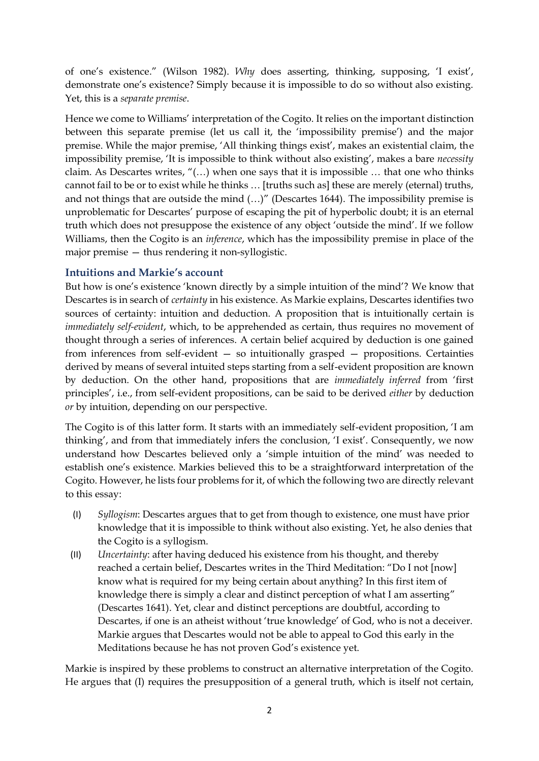of one's existence." (Wilson 1982). *Why* does asserting, thinking, supposing, 'I exist', demonstrate one's existence? Simply because it is impossible to do so without also existing. Yet, this is a *separate premise*.

Hence we come to Williams' interpretation of the Cogito. It relies on the important distinction between this separate premise (let us call it, the 'impossibility premise') and the major premise. While the major premise, 'All thinking things exist', makes an existential claim, the impossibility premise, 'It is impossible to think without also existing', makes a bare *necessity*  claim. As Descartes writes, "(…) when one says that it is impossible … that one who thinks cannot fail to be or to exist while he thinks … [truths such as] these are merely (eternal) truths, and not things that are outside the mind (…)" (Descartes 1644). The impossibility premise is unproblematic for Descartes' purpose of escaping the pit of hyperbolic doubt; it is an eternal truth which does not presuppose the existence of any object 'outside the mind'. If we follow Williams, then the Cogito is an *inference*, which has the impossibility premise in place of the major premise — thus rendering it non-syllogistic.

### **Intuitions and Markie's account**

But how is one's existence 'known directly by a simple intuition of the mind'? We know that Descartes is in search of *certainty* in his existence. As Markie explains, Descartes identifies two sources of certainty: intuition and deduction. A proposition that is intuitionally certain is *immediately self-evident*, which, to be apprehended as certain, thus requires no movement of thought through a series of inferences. A certain belief acquired by deduction is one gained from inferences from self-evident — so intuitionally grasped — propositions. Certainties derived by means of several intuited steps starting from a self-evident proposition are known by deduction. On the other hand, propositions that are *immediately inferred* from 'first principles', i.e., from self-evident propositions, can be said to be derived *either* by deduction *or* by intuition, depending on our perspective.

The Cogito is of this latter form. It starts with an immediately self-evident proposition, 'I am thinking', and from that immediately infers the conclusion, 'I exist'. Consequently, we now understand how Descartes believed only a 'simple intuition of the mind' was needed to establish one's existence. Markies believed this to be a straightforward interpretation of the Cogito. However, he lists four problems for it, of which the following two are directly relevant to this essay:

- (I) *Syllogism*: Descartes argues that to get from though to existence, one must have prior knowledge that it is impossible to think without also existing. Yet, he also denies that the Cogito is a syllogism.
- (II) *Uncertainty*: after having deduced his existence from his thought, and thereby reached a certain belief, Descartes writes in the Third Meditation: "Do I not [now] know what is required for my being certain about anything? In this first item of knowledge there is simply a clear and distinct perception of what I am asserting" (Descartes 1641). Yet, clear and distinct perceptions are doubtful, according to Descartes, if one is an atheist without 'true knowledge' of God, who is not a deceiver. Markie argues that Descartes would not be able to appeal to God this early in the Meditations because he has not proven God's existence yet.

Markie is inspired by these problems to construct an alternative interpretation of the Cogito. He argues that (I) requires the presupposition of a general truth, which is itself not certain,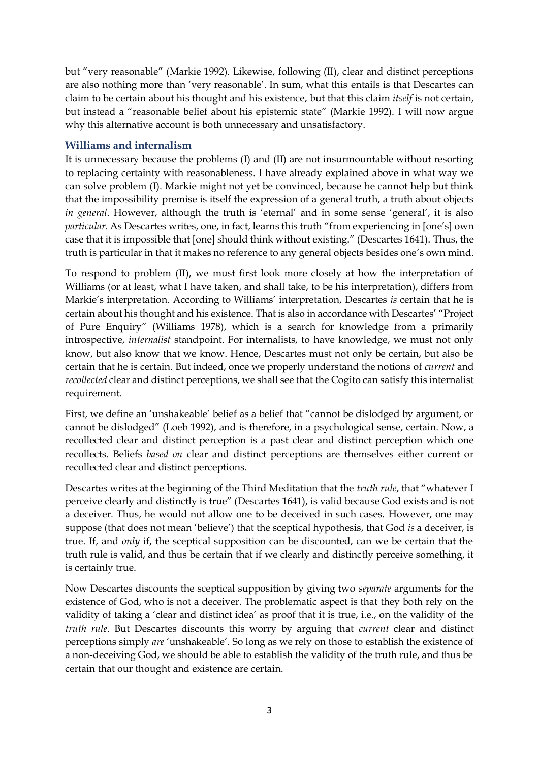but "very reasonable" (Markie 1992). Likewise, following (II), clear and distinct perceptions are also nothing more than 'very reasonable'. In sum, what this entails is that Descartes can claim to be certain about his thought and his existence, but that this claim *itself* is not certain, but instead a "reasonable belief about his epistemic state" (Markie 1992). I will now argue why this alternative account is both unnecessary and unsatisfactory.

### **Williams and internalism**

It is unnecessary because the problems (I) and (II) are not insurmountable without resorting to replacing certainty with reasonableness. I have already explained above in what way we can solve problem (I). Markie might not yet be convinced, because he cannot help but think that the impossibility premise is itself the expression of a general truth, a truth about objects *in general*. However, although the truth is 'eternal' and in some sense 'general', it is also *particular*. As Descartes writes, one, in fact, learns this truth "from experiencing in [one's] own case that it is impossible that [one] should think without existing." (Descartes 1641). Thus, the truth is particular in that it makes no reference to any general objects besides one's own mind.

To respond to problem (II), we must first look more closely at how the interpretation of Williams (or at least, what I have taken, and shall take, to be his interpretation), differs from Markie's interpretation. According to Williams' interpretation, Descartes *is* certain that he is certain about his thought and his existence. That is also in accordance with Descartes' "Project of Pure Enquiry" (Williams 1978), which is a search for knowledge from a primarily introspective, *internalist* standpoint. For internalists, to have knowledge, we must not only know, but also know that we know. Hence, Descartes must not only be certain, but also be certain that he is certain. But indeed, once we properly understand the notions of *current* and *recollected* clear and distinct perceptions, we shall see that the Cogito can satisfy this internalist requirement.

First, we define an 'unshakeable' belief as a belief that "cannot be dislodged by argument, or cannot be dislodged" (Loeb 1992), and is therefore, in a psychological sense, certain. Now, a recollected clear and distinct perception is a past clear and distinct perception which one recollects. Beliefs *based on* clear and distinct perceptions are themselves either current or recollected clear and distinct perceptions.

Descartes writes at the beginning of the Third Meditation that the *truth rule*, that "whatever I perceive clearly and distinctly is true" (Descartes 1641), is valid because God exists and is not a deceiver. Thus, he would not allow one to be deceived in such cases. However, one may suppose (that does not mean 'believe') that the sceptical hypothesis, that God *is* a deceiver, is true. If, and *only* if, the sceptical supposition can be discounted, can we be certain that the truth rule is valid, and thus be certain that if we clearly and distinctly perceive something, it is certainly true.

Now Descartes discounts the sceptical supposition by giving two *separate* arguments for the existence of God, who is not a deceiver. The problematic aspect is that they both rely on the validity of taking a 'clear and distinct idea' as proof that it is true, i.e., on the validity of the *truth rule*. But Descartes discounts this worry by arguing that *current* clear and distinct perceptions simply *are* 'unshakeable'. So long as we rely on those to establish the existence of a non-deceiving God, we should be able to establish the validity of the truth rule, and thus be certain that our thought and existence are certain.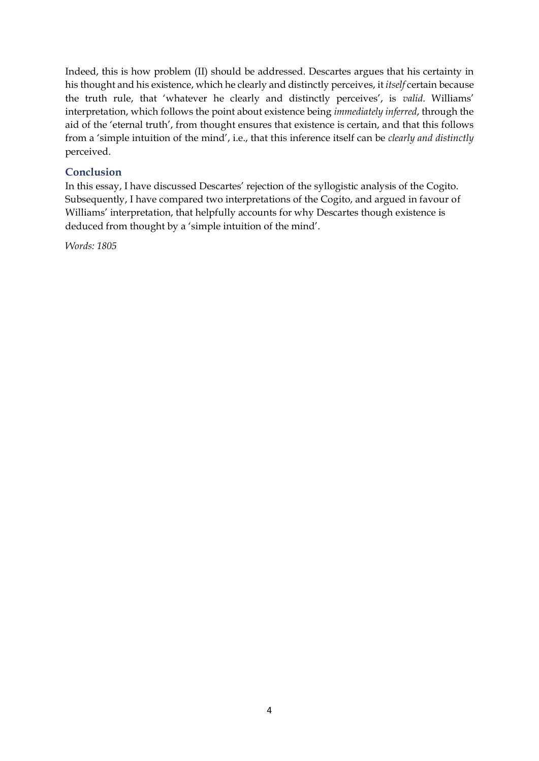Indeed, this is how problem (II) should be addressed. Descartes argues that his certainty in his thought and his existence, which he clearly and distinctly perceives, it *itself* certain because the truth rule, that 'whatever he clearly and distinctly perceives', is *valid*. Williams' interpretation, which follows the point about existence being *immediately inferred*, through the aid of the 'eternal truth', from thought ensures that existence is certain, and that this follows from a 'simple intuition of the mind', i.e., that this inference itself can be *clearly and distinctly* perceived.

# **Conclusion**

In this essay, I have discussed Descartes' rejection of the syllogistic analysis of the Cogito. Subsequently, I have compared two interpretations of the Cogito, and argued in favour of Williams' interpretation, that helpfully accounts for why Descartes though existence is deduced from thought by a 'simple intuition of the mind'.

*Words: 1805*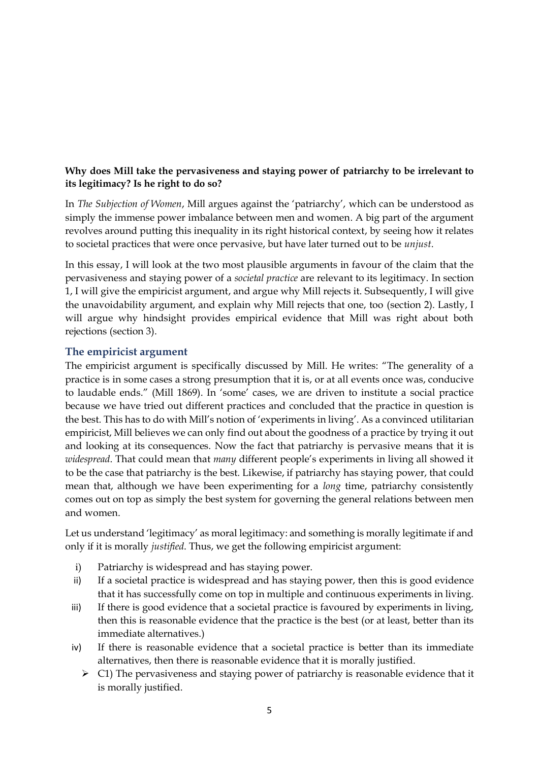# **Why does Mill take the pervasiveness and staying power of patriarchy to be irrelevant to its legitimacy? Is he right to do so?**

In *The Subjection of Women*, Mill argues against the 'patriarchy', which can be understood as simply the immense power imbalance between men and women. A big part of the argument revolves around putting this inequality in its right historical context, by seeing how it relates to societal practices that were once pervasive, but have later turned out to be *unjust*.

In this essay, I will look at the two most plausible arguments in favour of the claim that the pervasiveness and staying power of a *societal practice* are relevant to its legitimacy. In section 1, I will give the empiricist argument, and argue why Mill rejects it. Subsequently, I will give the unavoidability argument, and explain why Mill rejects that one, too (section 2). Lastly, I will argue why hindsight provides empirical evidence that Mill was right about both rejections (section 3).

### **The empiricist argument**

The empiricist argument is specifically discussed by Mill. He writes: "The generality of a practice is in some cases a strong presumption that it is, or at all events once was, conducive to laudable ends." (Mill 1869). In 'some' cases, we are driven to institute a social practice because we have tried out different practices and concluded that the practice in question is the best. This has to do with Mill's notion of 'experiments in living'. As a convinced utilitarian empiricist, Mill believes we can only find out about the goodness of a practice by trying it out and looking at its consequences. Now the fact that patriarchy is pervasive means that it is *widespread*. That could mean that *many* different people's experiments in living all showed it to be the case that patriarchy is the best. Likewise, if patriarchy has staying power, that could mean that, although we have been experimenting for a *long* time, patriarchy consistently comes out on top as simply the best system for governing the general relations between men and women.

Let us understand 'legitimacy' as moral legitimacy: and something is morally legitimate if and only if it is morally *justified*. Thus, we get the following empiricist argument:

- i) Patriarchy is widespread and has staying power.
- ii) If a societal practice is widespread and has staying power, then this is good evidence that it has successfully come on top in multiple and continuous experiments in living.
- iii) If there is good evidence that a societal practice is favoured by experiments in living, then this is reasonable evidence that the practice is the best (or at least, better than its immediate alternatives.)
- iv) If there is reasonable evidence that a societal practice is better than its immediate alternatives, then there is reasonable evidence that it is morally justified.
	- $\triangleright$  C1) The pervasiveness and staying power of patriarchy is reasonable evidence that it is morally justified.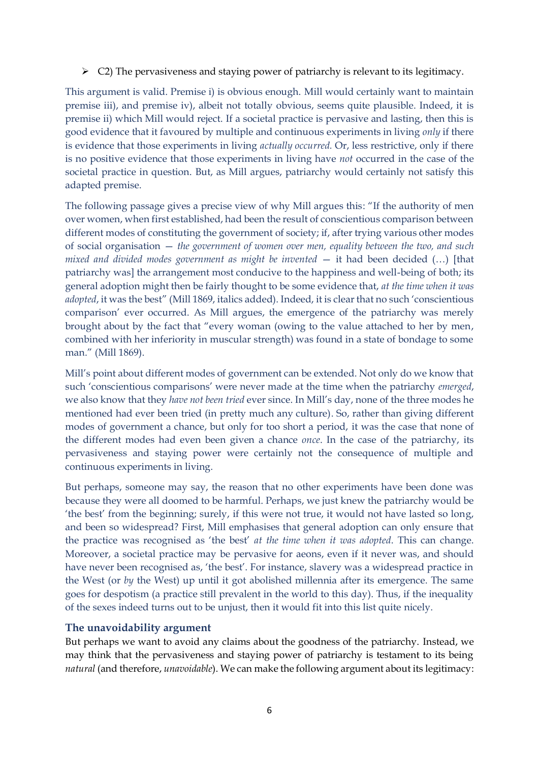$\triangleright$  C2) The pervasiveness and staying power of patriarchy is relevant to its legitimacy.

This argument is valid. Premise i) is obvious enough. Mill would certainly want to maintain premise iii), and premise iv), albeit not totally obvious, seems quite plausible. Indeed, it is premise ii) which Mill would reject. If a societal practice is pervasive and lasting, then this is good evidence that it favoured by multiple and continuous experiments in living *only* if there is evidence that those experiments in living *actually occurred.* Or, less restrictive, only if there is no positive evidence that those experiments in living have *not* occurred in the case of the societal practice in question. But, as Mill argues, patriarchy would certainly not satisfy this adapted premise.

The following passage gives a precise view of why Mill argues this: "If the authority of men over women, when first established, had been the result of conscientious comparison between different modes of constituting the government of society; if, after trying various other modes of social organisation — *the government of women over men, equality between the two, and such mixed and divided modes government as might be invented* — it had been decided (…) [that patriarchy was] the arrangement most conducive to the happiness and well-being of both; its general adoption might then be fairly thought to be some evidence that, *at the time when it was adopted*, it was the best" (Mill 1869, italics added). Indeed, it is clear that no such 'conscientious comparison' ever occurred. As Mill argues, the emergence of the patriarchy was merely brought about by the fact that "every woman (owing to the value attached to her by men, combined with her inferiority in muscular strength) was found in a state of bondage to some man." (Mill 1869).

Mill's point about different modes of government can be extended. Not only do we know that such 'conscientious comparisons' were never made at the time when the patriarchy *emerged*, we also know that they *have not been tried* ever since. In Mill's day, none of the three modes he mentioned had ever been tried (in pretty much any culture). So, rather than giving different modes of government a chance, but only for too short a period, it was the case that none of the different modes had even been given a chance *once*. In the case of the patriarchy, its pervasiveness and staying power were certainly not the consequence of multiple and continuous experiments in living.

But perhaps, someone may say, the reason that no other experiments have been done was because they were all doomed to be harmful. Perhaps, we just knew the patriarchy would be 'the best' from the beginning; surely, if this were not true, it would not have lasted so long, and been so widespread? First, Mill emphasises that general adoption can only ensure that the practice was recognised as 'the best' *at the time when it was adopted*. This can change. Moreover, a societal practice may be pervasive for aeons, even if it never was, and should have never been recognised as, 'the best'. For instance, slavery was a widespread practice in the West (or *by* the West) up until it got abolished millennia after its emergence. The same goes for despotism (a practice still prevalent in the world to this day). Thus, if the inequality of the sexes indeed turns out to be unjust, then it would fit into this list quite nicely.

#### **The unavoidability argument**

But perhaps we want to avoid any claims about the goodness of the patriarchy. Instead, we may think that the pervasiveness and staying power of patriarchy is testament to its being *natural* (and therefore, *unavoidable*). We can make the following argument about its legitimacy: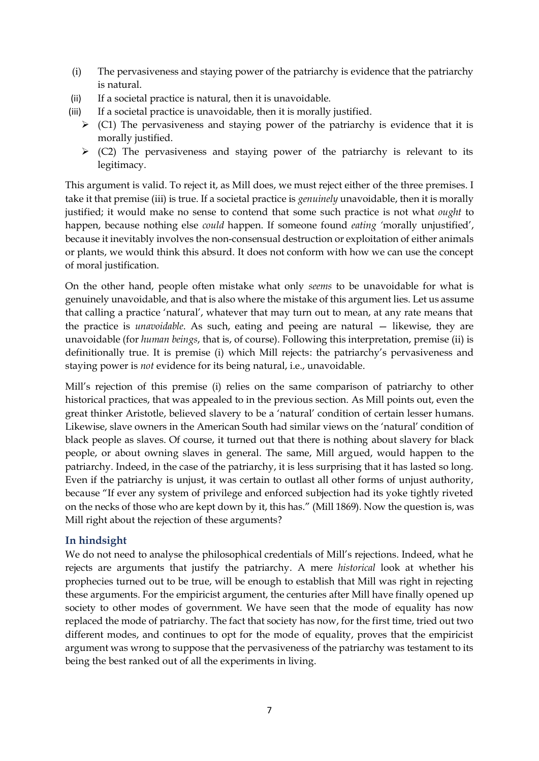- (i) The pervasiveness and staying power of the patriarchy is evidence that the patriarchy is natural.
- (ii) If a societal practice is natural, then it is unavoidable.
- (iii) If a societal practice is unavoidable, then it is morally justified.
	- $\triangleright$  (C1) The pervasiveness and staying power of the patriarchy is evidence that it is morally justified.
	- $\triangleright$  (C2) The pervasiveness and staying power of the patriarchy is relevant to its legitimacy.

This argument is valid. To reject it, as Mill does, we must reject either of the three premises. I take it that premise (iii) is true. If a societal practice is *genuinely* unavoidable, then it is morally justified; it would make no sense to contend that some such practice is not what *ought* to happen, because nothing else *could* happen. If someone found *eating '*morally unjustified', because it inevitably involves the non-consensual destruction or exploitation of either animals or plants, we would think this absurd. It does not conform with how we can use the concept of moral justification.

On the other hand, people often mistake what only *seems* to be unavoidable for what is genuinely unavoidable, and that is also where the mistake of this argument lies. Let us assume that calling a practice 'natural', whatever that may turn out to mean, at any rate means that the practice is *unavoidable*. As such, eating and peeing are natural — likewise, they are unavoidable (for *human beings*, that is, of course). Following this interpretation, premise (ii) is definitionally true. It is premise (i) which Mill rejects: the patriarchy's pervasiveness and staying power is *not* evidence for its being natural, i.e., unavoidable.

Mill's rejection of this premise (i) relies on the same comparison of patriarchy to other historical practices, that was appealed to in the previous section. As Mill points out, even the great thinker Aristotle, believed slavery to be a 'natural' condition of certain lesser humans. Likewise, slave owners in the American South had similar views on the 'natural' condition of black people as slaves. Of course, it turned out that there is nothing about slavery for black people, or about owning slaves in general. The same, Mill argued, would happen to the patriarchy. Indeed, in the case of the patriarchy, it is less surprising that it has lasted so long. Even if the patriarchy is unjust, it was certain to outlast all other forms of unjust authority, because "If ever any system of privilege and enforced subjection had its yoke tightly riveted on the necks of those who are kept down by it, this has." (Mill 1869). Now the question is, was Mill right about the rejection of these arguments?

### **In hindsight**

We do not need to analyse the philosophical credentials of Mill's rejections. Indeed, what he rejects are arguments that justify the patriarchy. A mere *historical* look at whether his prophecies turned out to be true, will be enough to establish that Mill was right in rejecting these arguments. For the empiricist argument, the centuries after Mill have finally opened up society to other modes of government. We have seen that the mode of equality has now replaced the mode of patriarchy. The fact that society has now, for the first time, tried out two different modes, and continues to opt for the mode of equality, proves that the empiricist argument was wrong to suppose that the pervasiveness of the patriarchy was testament to its being the best ranked out of all the experiments in living.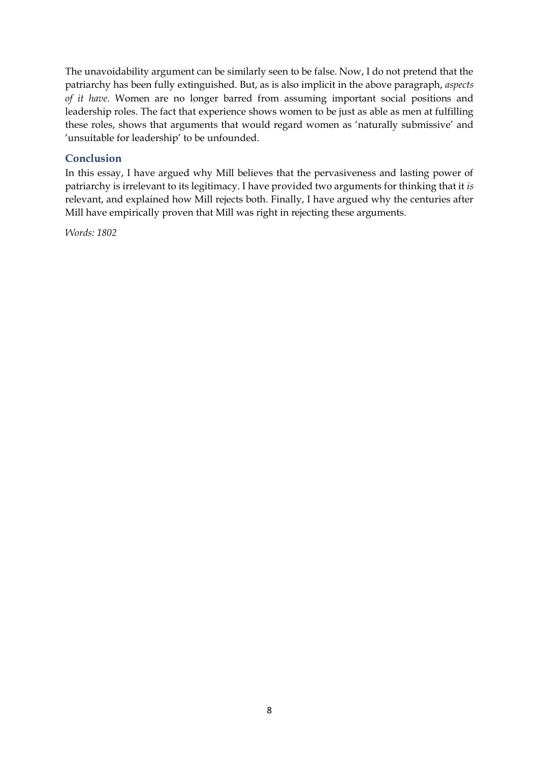The unavoidability argument can be similarly seen to be false. Now, I do not pretend that the patriarchy has been fully extinguished. But, as is also implicit in the above paragraph, *aspects of it have*. Women are no longer barred from assuming important social positions and leadership roles. The fact that experience shows women to be just as able as men at fulfilling these roles, shows that arguments that would regard women as 'naturally submissive' and 'unsuitable for leadership' to be unfounded.

### **Conclusion**

In this essay, I have argued why Mill believes that the pervasiveness and lasting power of patriarchy is irrelevant to its legitimacy. I have provided two arguments for thinking that it *is*  relevant, and explained how Mill rejects both. Finally, I have argued why the centuries after Mill have empirically proven that Mill was right in rejecting these arguments.

*Words: 1802*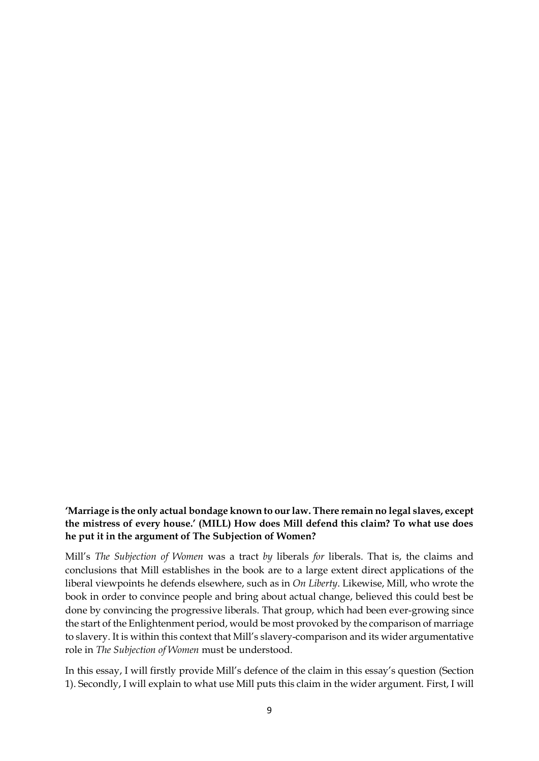### **'Marriage is the only actual bondage known to our law. There remain no legal slaves, except the mistress of every house.' (MILL) How does Mill defend this claim? To what use does he put it in the argument of The Subjection of Women?**

Mill's *The Subjection of Women* was a tract *by* liberals *for* liberals. That is, the claims and conclusions that Mill establishes in the book are to a large extent direct applications of the liberal viewpoints he defends elsewhere, such as in *On Liberty*. Likewise, Mill, who wrote the book in order to convince people and bring about actual change, believed this could best be done by convincing the progressive liberals. That group, which had been ever-growing since the start of the Enlightenment period, would be most provoked by the comparison of marriage to slavery. It is within this context that Mill's slavery-comparison and its wider argumentative role in *The Subjection of Women* must be understood.

In this essay, I will firstly provide Mill's defence of the claim in this essay's question (Section 1). Secondly, I will explain to what use Mill puts this claim in the wider argument. First, I will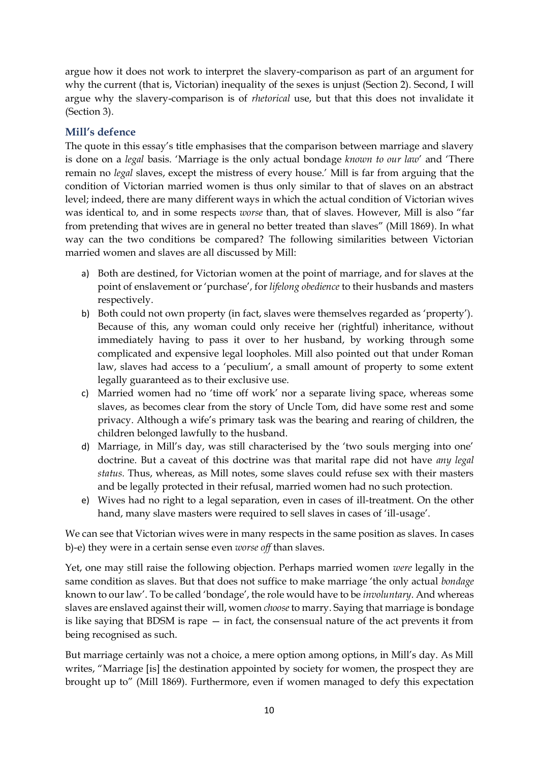argue how it does not work to interpret the slavery-comparison as part of an argument for why the current (that is, Victorian) inequality of the sexes is unjust (Section 2). Second, I will argue why the slavery-comparison is of *rhetorical* use, but that this does not invalidate it (Section 3).

# **Mill's defence**

The quote in this essay's title emphasises that the comparison between marriage and slavery is done on a *legal* basis. 'Marriage is the only actual bondage *known to our law*' and 'There remain no *legal* slaves, except the mistress of every house.' Mill is far from arguing that the condition of Victorian married women is thus only similar to that of slaves on an abstract level; indeed, there are many different ways in which the actual condition of Victorian wives was identical to, and in some respects *worse* than, that of slaves. However, Mill is also "far from pretending that wives are in general no better treated than slaves" (Mill 1869). In what way can the two conditions be compared? The following similarities between Victorian married women and slaves are all discussed by Mill:

- a) Both are destined, for Victorian women at the point of marriage, and for slaves at the point of enslavement or 'purchase', for *lifelong obedience* to their husbands and masters respectively.
- b) Both could not own property (in fact, slaves were themselves regarded as 'property'). Because of this, any woman could only receive her (rightful) inheritance, without immediately having to pass it over to her husband, by working through some complicated and expensive legal loopholes. Mill also pointed out that under Roman law, slaves had access to a 'peculium', a small amount of property to some extent legally guaranteed as to their exclusive use.
- c) Married women had no 'time off work' nor a separate living space, whereas some slaves, as becomes clear from the story of Uncle Tom, did have some rest and some privacy. Although a wife's primary task was the bearing and rearing of children, the children belonged lawfully to the husband.
- d) Marriage, in Mill's day, was still characterised by the 'two souls merging into one' doctrine. But a caveat of this doctrine was that marital rape did not have *any legal status.* Thus, whereas, as Mill notes, some slaves could refuse sex with their masters and be legally protected in their refusal, married women had no such protection.
- e) Wives had no right to a legal separation, even in cases of ill-treatment. On the other hand, many slave masters were required to sell slaves in cases of 'ill-usage'.

We can see that Victorian wives were in many respects in the same position as slaves. In cases b)-e) they were in a certain sense even *worse off* than slaves.

Yet, one may still raise the following objection. Perhaps married women *were* legally in the same condition as slaves. But that does not suffice to make marriage 'the only actual *bondage*  known to our law'. To be called 'bondage', the role would have to be *involuntary*. And whereas slaves are enslaved against their will, women *choose* to marry. Saying that marriage is bondage is like saying that BDSM is rape — in fact, the consensual nature of the act prevents it from being recognised as such.

But marriage certainly was not a choice, a mere option among options, in Mill's day. As Mill writes, "Marriage [is] the destination appointed by society for women, the prospect they are brought up to" (Mill 1869). Furthermore, even if women managed to defy this expectation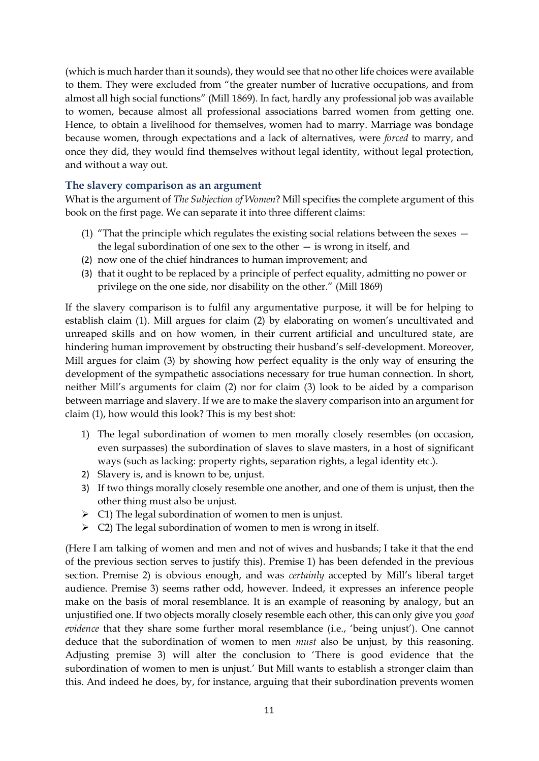(which is much harder than it sounds), they would see that no other life choices were available to them. They were excluded from "the greater number of lucrative occupations, and from almost all high social functions" (Mill 1869). In fact, hardly any professional job was available to women, because almost all professional associations barred women from getting one. Hence, to obtain a livelihood for themselves, women had to marry. Marriage was bondage because women, through expectations and a lack of alternatives, were *forced* to marry, and once they did, they would find themselves without legal identity, without legal protection, and without a way out.

#### **The slavery comparison as an argument**

What is the argument of *The Subjection of Women*? Mill specifies the complete argument of this book on the first page. We can separate it into three different claims:

- (1) "That the principle which regulates the existing social relations between the sexes the legal subordination of one sex to the other — is wrong in itself, and
- (2) now one of the chief hindrances to human improvement; and
- (3) that it ought to be replaced by a principle of perfect equality, admitting no power or privilege on the one side, nor disability on the other." (Mill 1869)

If the slavery comparison is to fulfil any argumentative purpose, it will be for helping to establish claim (1). Mill argues for claim (2) by elaborating on women's uncultivated and unreaped skills and on how women, in their current artificial and uncultured state, are hindering human improvement by obstructing their husband's self-development. Moreover, Mill argues for claim (3) by showing how perfect equality is the only way of ensuring the development of the sympathetic associations necessary for true human connection. In short, neither Mill's arguments for claim (2) nor for claim (3) look to be aided by a comparison between marriage and slavery. If we are to make the slavery comparison into an argument for claim (1), how would this look? This is my best shot:

- 1) The legal subordination of women to men morally closely resembles (on occasion, even surpasses) the subordination of slaves to slave masters, in a host of significant ways (such as lacking: property rights, separation rights, a legal identity etc.).
- 2) Slavery is, and is known to be, unjust.
- 3) If two things morally closely resemble one another, and one of them is unjust, then the other thing must also be unjust.
- $\triangleright$  C1) The legal subordination of women to men is unjust.
- ➢ C2) The legal subordination of women to men is wrong in itself.

(Here I am talking of women and men and not of wives and husbands; I take it that the end of the previous section serves to justify this). Premise 1) has been defended in the previous section. Premise 2) is obvious enough, and was *certainly* accepted by Mill's liberal target audience. Premise 3) seems rather odd, however. Indeed, it expresses an inference people make on the basis of moral resemblance. It is an example of reasoning by analogy, but an unjustified one. If two objects morally closely resemble each other, this can only give you *good evidence* that they share some further moral resemblance (i.e., 'being unjust'). One cannot deduce that the subordination of women to men *must* also be unjust, by this reasoning. Adjusting premise 3) will alter the conclusion to 'There is good evidence that the subordination of women to men is unjust.' But Mill wants to establish a stronger claim than this. And indeed he does, by, for instance, arguing that their subordination prevents women